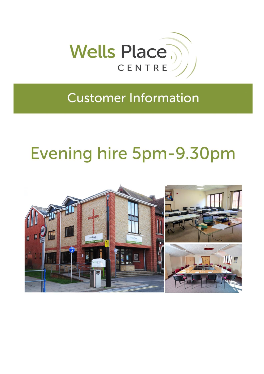

## **Customer Information**

# Evening hire 5pm-9.30pm

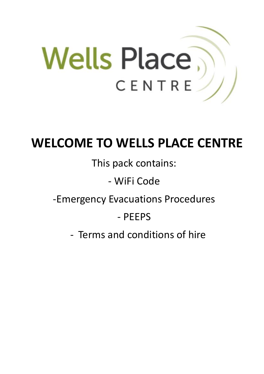

## **WELCOME TO WELLS PLACE CENTRE**

## This pack contains:

## - WiFi Code

## -Emergency Evacuations Procedures

## - PEEPS

- Terms and conditions of hire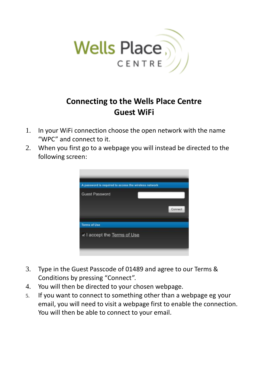

## **Connecting to the Wells Place Centre Guest WiFi**

- 1. In your WiFi connection choose the open network with the name "WPC" and connect to it.
- 2. When you first go to a webpage you will instead be directed to the following screen:



- 3. Type in the Guest Passcode of 01489 and agree to our Terms & Conditions by pressing "Connect".
- 4. You will then be directed to your chosen webpage.
- 5. If you want to connect to something other than a webpage eg your email, you will need to visit a webpage first to enable the connection. You will then be able to connect to your email.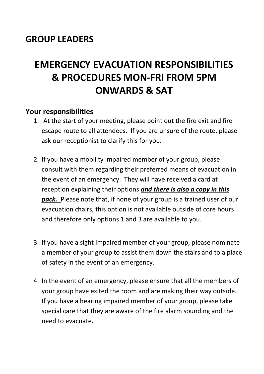## **GROUP LEADERS**

## **EMERGENCY EVACUATION RESPONSIBILITIES & PROCEDURES MON-FRI FROM 5PM ONWARDS & SAT**

### **Your responsibilities**

- 1. At the start of your meeting, please point out the fire exit and fire escape route to all attendees. If you are unsure of the route, please ask our receptionist to clarify this for you.
- 2. If you have a mobility impaired member of your group, please consult with them regarding their preferred means of evacuation in the event of an emergency. They will have received a card at reception explaining their options *and there is also a copy in this pack.* Please note that, if none of your group is a trained user of our evacuation chairs, this option is not available outside of core hours and therefore only options 1 and 3 are available to you.
- 3. If you have a sight impaired member of your group, please nominate a member of your group to assist them down the stairs and to a place of safety in the event of an emergency.
- 4. In the event of an emergency, please ensure that all the members of your group have exited the room and are making their way outside. If you have a hearing impaired member of your group, please take special care that they are aware of the fire alarm sounding and the need to evacuate.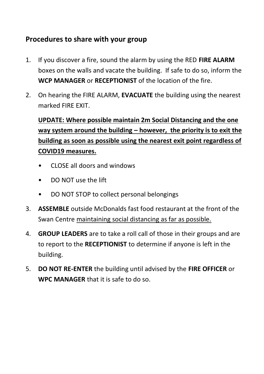## **Procedures to share with your group**

- 1. If you discover a fire, sound the alarm by using the RED **FIRE ALARM** boxes on the walls and vacate the building. If safe to do so, inform the **WCP MANAGER** or **RECEPTIONIST** of the location of the fire.
- 2. On hearing the FIRE ALARM, **EVACUATE** the building using the nearest marked FIRE EXIT.

**UPDATE: Where possible maintain 2m Social Distancing and the one way system around the building – however, the priority is to exit the building as soon as possible using the nearest exit point regardless of COVID19 measures.**

- CLOSE all doors and windows
- DO NOT use the lift
- DO NOT STOP to collect personal belongings
- 3. **ASSEMBLE** outside McDonalds fast food restaurant at the front of the Swan Centre maintaining social distancing as far as possible.
- 4. **GROUP LEADERS** are to take a roll call of those in their groups and are to report to the **RECEPTIONIST** to determine if anyone is left in the building.
- 5. **DO NOT RE-ENTER** the building until advised by the **FIRE OFFICER** or **WPC MANAGER** that it is safe to do so.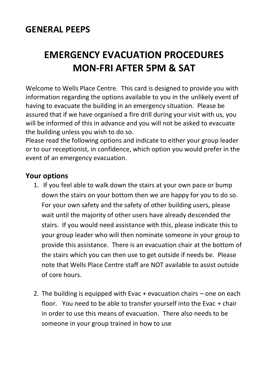## **GENERAL PEEPS**

## **EMERGENCY EVACUATION PROCEDURES MON-FRI AFTER 5PM & SAT**

Welcome to Wells Place Centre. This card is designed to provide you with information regarding the options available to you in the unlikely event of having to evacuate the building in an emergency situation. Please be assured that if we have organised a fire drill during your visit with us, you will be informed of this in advance and you will not be asked to evacuate the building unless you wish to do so.

Please read the following options and indicate to either your group leader or to our receptionist, in confidence, which option you would prefer in the event of an emergency evacuation.

### **Your options**

- 1. If you feel able to walk down the stairs at your own pace or bump down the stairs on your bottom then we are happy for you to do so. For your own safety and the safety of other building users, please wait until the majority of other users have already descended the stairs. If you would need assistance with this, please indicate this to your group leader who will then nominate someone in your group to provide this assistance. There is an evacuation chair at the bottom of the stairs which you can then use to get outside if needs be. Please note that Wells Place Centre staff are NOT available to assist outside of core hours.
- 2. The building is equipped with Evac + evacuation chairs one on each floor. You need to be able to transfer yourself into the Evac + chair in order to use this means of evacuation. There also needs to be someone in your group trained in how to use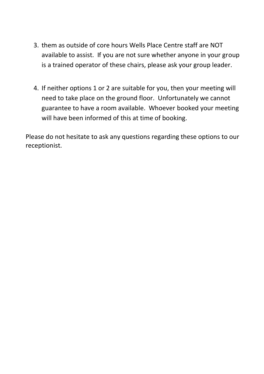- 3. them as outside of core hours Wells Place Centre staff are NOT available to assist. If you are not sure whether anyone in your group is a trained operator of these chairs, please ask your group leader.
- 4. If neither options 1 or 2 are suitable for you, then your meeting will need to take place on the ground floor. Unfortunately we cannot guarantee to have a room available. Whoever booked your meeting will have been informed of this at time of booking.

Please do not hesitate to ask any questions regarding these options to our receptionist.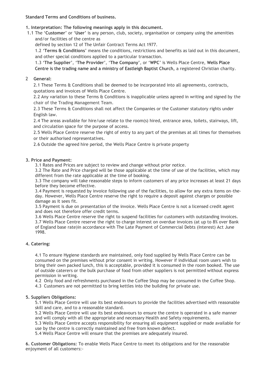### **Standard Terms and Conditions of business.**

### **1. Interpretation: The following meanings apply in this document.**

- 1.1 The '**Customer**' or '**User**' is any person, club, society, organisation or company using the amenities and/or facilities of the centre as
	- defined by section 12 of The Unfair Contract Terms Act 1977.

1.2 '**Terms & Conditions**' means the conditions, restrictions and benefits as laid out in this document, and other special conditions applied to a particular transaction.

1.3 '**The Supplier**', '**The Provider**', '**The Company**', or '**WPC**' is Wells Place Centre, Wells Place Centre is the trading name and a ministry of Eastleigh Baptist Church, a registered Christian charity.

### 2 **General:**

2.1 These Terms & Conditions shall be deemed to be incorporated into all agreements, contracts, quotations and invoices of Wells Place Centre.

2.2 Any variation to these Terms & Conditions is inapplicable unless agreed in writing and signed by the chair of the Trading Management Team.

2.3 These Terms & Conditions shall not affect the Companies or the Customer statutory rights under English law.

2.4 The areas available for hire/use relate to the room(s) hired, entrance area, toilets, stairways, lift, and circulation space for the purpose of access.

2.5 Wells Place Centre reserve the right of entry to any part of the premises at all times for themselves or their authorised representatives.

2.6 Outside the agreed hire period, the Wells Place Centre is private property

### **3. Price and Payment:**

3.1 Rates and Prices are subject to review and change without prior notice.

3.2 The Rate and Price charged will be those applicable at the time of use of the facilities, which may different from the rate applicable at the time of booking.

3.3 The company will take reasonable steps to inform customers of any price increases at least 21 days before they become effective.

3.4 Payment is requested by invoice following use of the facilities, to allow for any extra items on-theday. However, Wells Place Centre reserve the right to require a deposit against charges or possible damage as it sees fit.

3.5 Payment is due on presentation of the invoice. Wells Place Centre is not a licensed credit agent and does not therefore offer credit terms.

3.6 Wells Place Centre reserve the right to suspend facilities for customers with outstanding invoices. 3.7 Wells Place Centre reserve the right to charge interest on overdue invoices (at up to 8% over Bank of England base rate)in accordance with The Late Payment of Commercial Debts (Interest) Act June 1998.

### **4. Catering:**

4.1 To ensure Hygiene standards are maintained, only food supplied by Wells Place Centre can be consumed on the premises without prior consent in writing. However if individual room users wish to bring their own packed lunch, this is acceptable, provided it is consumed in the room booked. The use of outside caterers or the bulk purchase of food from other suppliers is not permitted without express permission in writing.

4.2 Only food and refreshments purchased in the Coffee Shop may be consumed in the Coffee Shop.

4.3 Customers are not permitted to bring kettles into the building for private use.

### **5. Suppliers Obligations:**

5.1 Wells Place Centre will use its best endeavours to provide the facilities advertised with reasonable skill and care, and to a reasonable standard.

5.2 Wells Place Centre will use its best endeavours to ensure the centre is operated in a safe manner and will comply with all the appropriate and necessary Health and Safety requirements.

5.3 Wells Place Centre accepts responsibility for ensuring all equipment supplied or made available for use by the centre is correctly maintained and free from known defect.

5.4 Wells Place Centre will ensure that the premises are adequately insured.

**6. Customer Obligations:** To enable Wells Place Centre to meet its obligations and for the reasonable enjoyment of all customers:-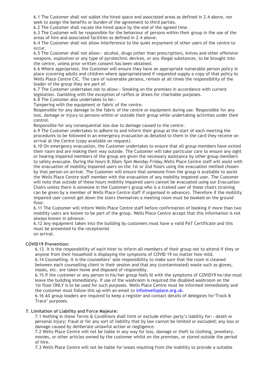6.1 The Customer shall not sublet the hired space and associated areas as defined in 2.4 above, nor seek to assign the benefits or burden of the agreement to third parties.

6.2 The Customer shall vacate the hired space by the end of the agreed time.

6.3 The Customer will be responsible for the behaviour of persons within their group in the use of the areas of hire and associated facilities as defined in 2.4 above.

6.4 The Customer shall not allow interference to the quiet enjoyment of other users of the centre to occur.

6.5 The Customer shall not allow:- alcohol, drugs (other than prescription), knives and other offensive weapons, explosives or any type of pyrotechnic devices, or any illegal substances, to be brought into the centre, unless prior written consent has been obtained.

6.6 Where appropriate, the Customer will ensure they have an appropriate vulnerable person policy in place (covering adults and children where appropriate)and if requested supply a copy of that policy to Wells Place Centre CIC. The care of vulnerable persons, remain at all times the responsibility of the leader of the group they are part of.

6.7 The Customer undertakes not to allow:- Smoking on the premises in accordance with current legislation. Gambling with the exception of raffles or draws for charitable purposes.

6.8 The Customer also undertakes to be:-

Tampering with the equipment or fabric of the centre.

Responsible for any damage to the fabric of the centre or equipment during use. Responsible for any loss, damage or injury to persons within or outside their group while undertaking activities under their control.

Responsible for any consequential loss due to damage caused to the centre.

6.9 The Customer undertakes to adhere to and inform their group at the start of each meeting the procedures to be followed in an emergency evacuation as detailed to them in the card they receive on arrival at the Centre (copy available on request).

6.10 On emergency evacuation, the Customer undertakes to ensure that all group members have exited their room and are making their way outside. The Customer will take particular care to ensure any sight or hearing impaired members of the group are given the necessary assistance by other group members to safely evacuate. During the hours 8.30am–5pm Monday–Friday,Wells Place Centre staff will assist with the evacuation of mobility impaired users on the 1st or 2nd floors using the evacuation method chosen by that person on arrival. The Customer will ensure that someone from the group is available to assist the Wells Place Centre staff member with the evacuation of any mobility impaired user. The Customer will note that outside of these hours mobility impaired users cannot be evacuated using our Evacuation Chairs unless there is someone in the Customer's group who is a trained user of these chairs (training can be given by a member of Wells Place Centre staff if organised in advance). Therefore if the mobility impaired user cannot get down the stairs themselves a meeting room must be booked on the ground floor.

6.11 The Customer will inform Wells Place Centre staff before confirmation of booking if more than two mobility users are known to be part of the group. Wells Place Centre accept that this information is not always known in advance.

6.12 Any equipment taken into the building by customers must have a valid PAT Certificate and this must be presented to the receptionist on arrival.

#### **COVID19 Prevention:**

6.13. It is the responsibility of each hirer to inform all members of their group not to attend if they or anyone from their household is displaying the symptoms of COVID 19 no matter how mild. 6.14 Counselling. It is the counsellers' sole responsibility to make sure that the room is cleaned

between each counselling client in their session and that any (contaminated) waste such as gloves, masks, etc. are taken home and disposed of responsibly.

6.15 If the customer or any person in his/her group feels ill with the symptoms of COVID19 he/she must leave the building immediately. If use of the washroom is required the disabled washroom on the 1st floor ONLY is to be used for such purposes. Wells Place Centre must be informed immediately and the customer must follow this up with an email to info@wellsplace.org.uk.

6.16 All group leaders are required to keep a register and contact details of delegates for'Track & Trace' purposes.

#### **7. Limitation of Liability and Force Majeure:**

7.1 Nothing in these Terms & Conditions shall limit or exclude either party's liability for:- death or personal injury; fraud or for any sort of liability that by law cannot be limited or excluded; any loss or damage caused by deliberate unlawful action or negligence.

7.2 Wells Place Centre will not be liable in any way for loss, damage or theft to clothing, jewellery, monies, or other articles owned by the customer whilst on the premises, or stored outside the period of hire.

7.3 Wells Place Centre will not be liable for losses resulting from the inability to provide a suitable